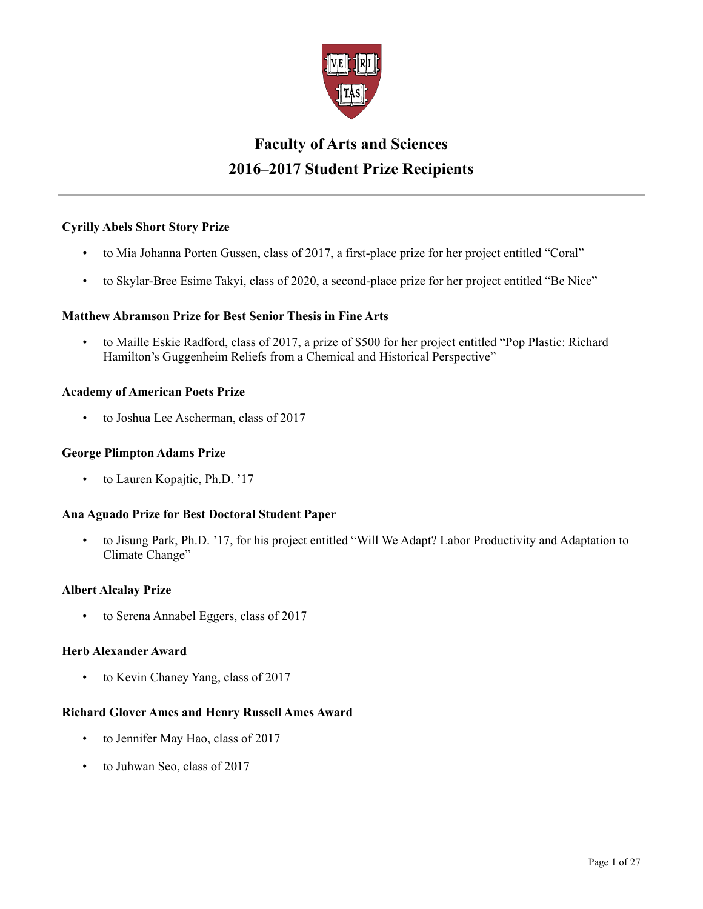

# **Faculty of Arts and Sciences 2016–2017 Student Prize Recipients**

# **Cyrilly Abels Short Story Prize**

- to Mia Johanna Porten Gussen, class of 2017, a first-place prize for her project entitled "Coral"
- to Skylar-Bree Esime Takyi, class of 2020, a second-place prize for her project entitled "Be Nice"

### **Matthew Abramson Prize for Best Senior Thesis in Fine Arts**

• to Maille Eskie Radford, class of 2017, a prize of \$500 for her project entitled "Pop Plastic: Richard Hamilton's Guggenheim Reliefs from a Chemical and Historical Perspective"

### **Academy of American Poets Prize**

• to Joshua Lee Ascherman, class of 2017

### **George Plimpton Adams Prize**

• to Lauren Kopajtic, Ph.D. '17

### **Ana Aguado Prize for Best Doctoral Student Paper**

• to Jisung Park, Ph.D. '17, for his project entitled "Will We Adapt? Labor Productivity and Adaptation to Climate Change"

#### **Albert Alcalay Prize**

• to Serena Annabel Eggers, class of 2017

#### **Herb Alexander Award**

to Kevin Chaney Yang, class of 2017

#### **Richard Glover Ames and Henry Russell Ames Award**

- to Jennifer May Hao, class of 2017
- to Juhwan Seo, class of 2017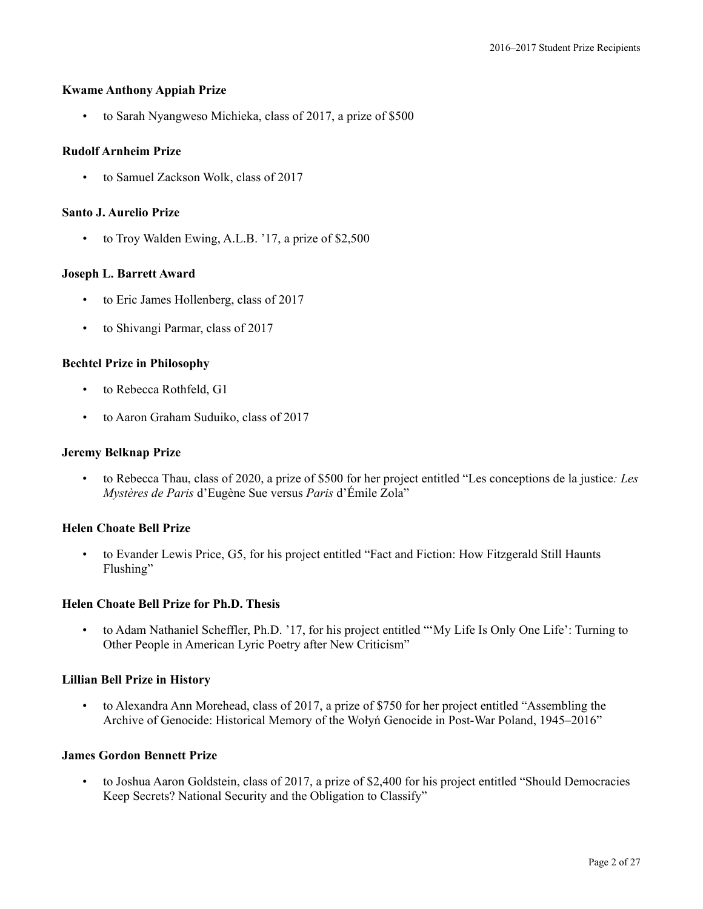### **Kwame Anthony Appiah Prize**

• to Sarah Nyangweso Michieka, class of 2017, a prize of \$500

### **Rudolf Arnheim Prize**

• to Samuel Zackson Wolk, class of 2017

#### **Santo J. Aurelio Prize**

• to Troy Walden Ewing, A.L.B. '17, a prize of \$2,500

### **Joseph L. Barrett Award**

- to Eric James Hollenberg, class of 2017
- to Shivangi Parmar, class of 2017

### **Bechtel Prize in Philosophy**

- to Rebecca Rothfeld, G1
- to Aaron Graham Suduiko, class of 2017

#### **Jeremy Belknap Prize**

• to Rebecca Thau, class of 2020, a prize of \$500 for her project entitled "Les conceptions de la justice*: Les Mystères de Paris* d'Eugène Sue versus *Paris* d'Émile Zola"

#### **Helen Choate Bell Prize**

• to Evander Lewis Price, G5, for his project entitled "Fact and Fiction: How Fitzgerald Still Haunts Flushing"

#### **Helen Choate Bell Prize for Ph.D. Thesis**

• to Adam Nathaniel Scheffler, Ph.D. '17, for his project entitled "'My Life Is Only One Life': Turning to Other People in American Lyric Poetry after New Criticism"

#### **Lillian Bell Prize in History**

• to Alexandra Ann Morehead, class of 2017, a prize of \$750 for her project entitled "Assembling the Archive of Genocide: Historical Memory of the Wołyń Genocide in Post-War Poland, 1945–2016"

#### **James Gordon Bennett Prize**

• to Joshua Aaron Goldstein, class of 2017, a prize of \$2,400 for his project entitled "Should Democracies Keep Secrets? National Security and the Obligation to Classify"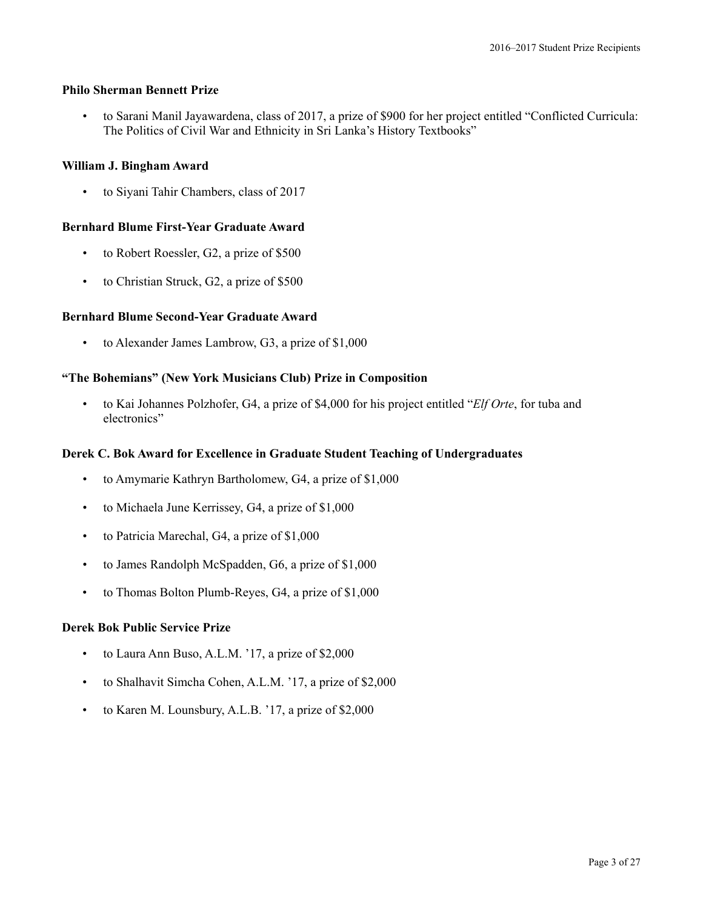### **Philo Sherman Bennett Prize**

• to Sarani Manil Jayawardena, class of 2017, a prize of \$900 for her project entitled "Conflicted Curricula: The Politics of Civil War and Ethnicity in Sri Lanka's History Textbooks"

# **William J. Bingham Award**

• to Siyani Tahir Chambers, class of 2017

# **Bernhard Blume First-Year Graduate Award**

- to Robert Roessler, G2, a prize of \$500
- to Christian Struck, G2, a prize of \$500

# **Bernhard Blume Second-Year Graduate Award**

• to Alexander James Lambrow, G3, a prize of \$1,000

# **"The Bohemians" (New York Musicians Club) Prize in Composition**

• to Kai Johannes Polzhofer, G4, a prize of \$4,000 for his project entitled "*Elf Orte*, for tuba and electronics"

# **Derek C. Bok Award for Excellence in Graduate Student Teaching of Undergraduates**

- to Amymarie Kathryn Bartholomew, G4, a prize of \$1,000
- to Michaela June Kerrissey, G4, a prize of \$1,000
- to Patricia Marechal, G4, a prize of \$1,000
- to James Randolph McSpadden, G6, a prize of \$1,000
- to Thomas Bolton Plumb-Reyes, G4, a prize of \$1,000

### **Derek Bok Public Service Prize**

- to Laura Ann Buso, A.L.M. '17, a prize of \$2,000
- to Shalhavit Simcha Cohen, A.L.M. '17, a prize of \$2,000
- to Karen M. Lounsbury, A.L.B. '17, a prize of \$2,000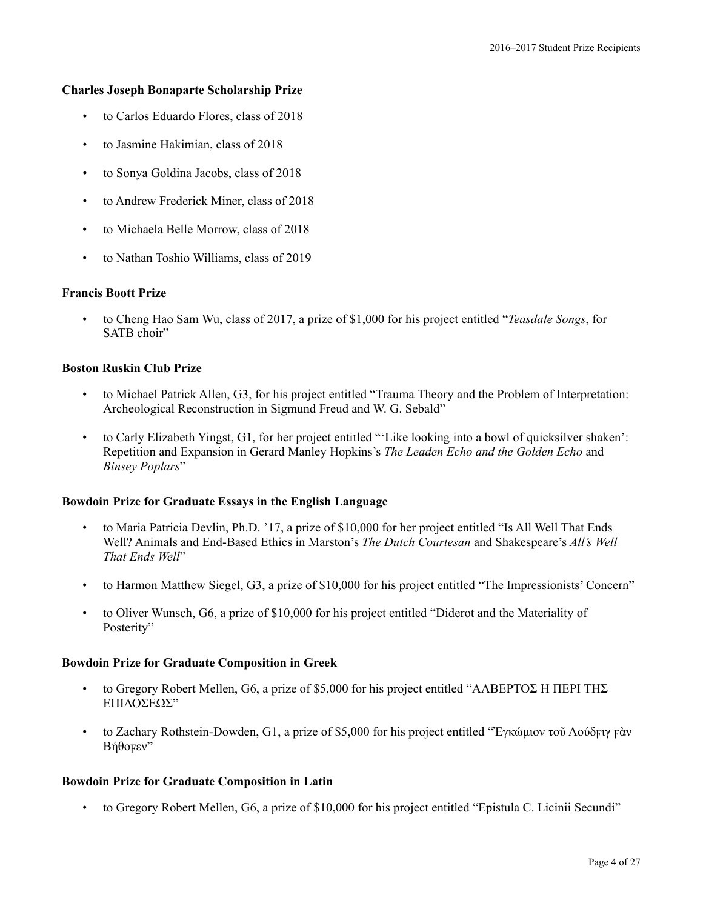### **Charles Joseph Bonaparte Scholarship Prize**

- to Carlos Eduardo Flores, class of 2018
- to Jasmine Hakimian, class of 2018
- to Sonya Goldina Jacobs, class of 2018
- to Andrew Frederick Miner, class of 2018
- to Michaela Belle Morrow, class of 2018
- to Nathan Toshio Williams, class of 2019

#### **Francis Boott Prize**

• to Cheng Hao Sam Wu, class of 2017, a prize of \$1,000 for his project entitled "*Teasdale Songs*, for SATB choir"

#### **Boston Ruskin Club Prize**

- to Michael Patrick Allen, G3, for his project entitled "Trauma Theory and the Problem of Interpretation: Archeological Reconstruction in Sigmund Freud and W. G. Sebald"
- to Carly Elizabeth Yingst, G1, for her project entitled "'Like looking into a bowl of quicksilver shaken': Repetition and Expansion in Gerard Manley Hopkins's *The Leaden Echo and the Golden Echo* and *Binsey Poplars*"

#### **Bowdoin Prize for Graduate Essays in the English Language**

- to Maria Patricia Devlin, Ph.D. '17, a prize of \$10,000 for her project entitled "Is All Well That Ends Well? Animals and End-Based Ethics in Marston's *The Dutch Courtesan* and Shakespeare's *All's Well That Ends Well*"
- to Harmon Matthew Siegel, G3, a prize of \$10,000 for his project entitled "The Impressionists' Concern"
- to Oliver Wunsch, G6, a prize of \$10,000 for his project entitled "Diderot and the Materiality of Posterity"

#### **Bowdoin Prize for Graduate Composition in Greek**

- to Gregory Robert Mellen, G6, a prize of \$5,000 for his project entitled "ΑΛΒΕΡΤΟΣ Η ΠΕΡΙ ΤΗΣ ΕΠΙΔΟΣΕΩΣ"
- to Zachary Rothstein-Dowden, G1, a prize of \$5,000 for his project entitled "Ἐγκώμιον τοῦ Λούδϝιγ ϝὰν Βήθοϝεν"

#### **Bowdoin Prize for Graduate Composition in Latin**

• to Gregory Robert Mellen, G6, a prize of \$10,000 for his project entitled "Epistula C. Licinii Secundi"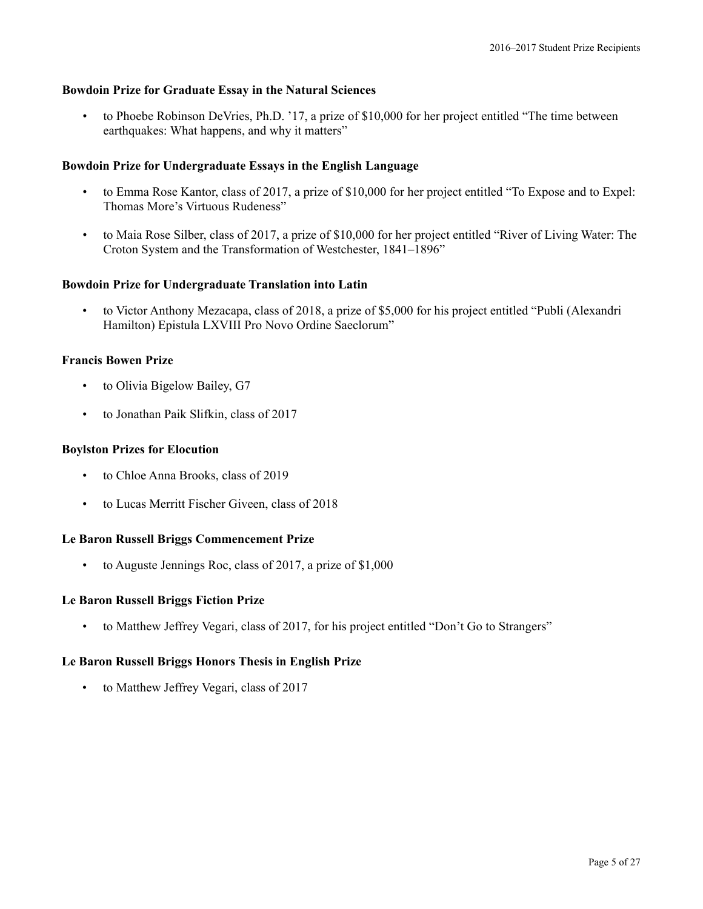### **Bowdoin Prize for Graduate Essay in the Natural Sciences**

• to Phoebe Robinson DeVries, Ph.D. '17, a prize of \$10,000 for her project entitled "The time between earthquakes: What happens, and why it matters"

### **Bowdoin Prize for Undergraduate Essays in the English Language**

- to Emma Rose Kantor, class of 2017, a prize of \$10,000 for her project entitled "To Expose and to Expel: Thomas More's Virtuous Rudeness"
- to Maia Rose Silber, class of 2017, a prize of \$10,000 for her project entitled "River of Living Water: The Croton System and the Transformation of Westchester, 1841–1896"

### **Bowdoin Prize for Undergraduate Translation into Latin**

• to Victor Anthony Mezacapa, class of 2018, a prize of \$5,000 for his project entitled "Publi (Alexandri Hamilton) Epistula LXVIII Pro Novo Ordine Saeclorum"

### **Francis Bowen Prize**

- to Olivia Bigelow Bailey, G7
- to Jonathan Paik Slifkin, class of 2017

### **Boylston Prizes for Elocution**

- to Chloe Anna Brooks, class of 2019
- to Lucas Merritt Fischer Giveen, class of 2018

#### **Le Baron Russell Briggs Commencement Prize**

• to Auguste Jennings Roc, class of 2017, a prize of \$1,000

#### **Le Baron Russell Briggs Fiction Prize**

• to Matthew Jeffrey Vegari, class of 2017, for his project entitled "Don't Go to Strangers"

### **Le Baron Russell Briggs Honors Thesis in English Prize**

• to Matthew Jeffrey Vegari, class of 2017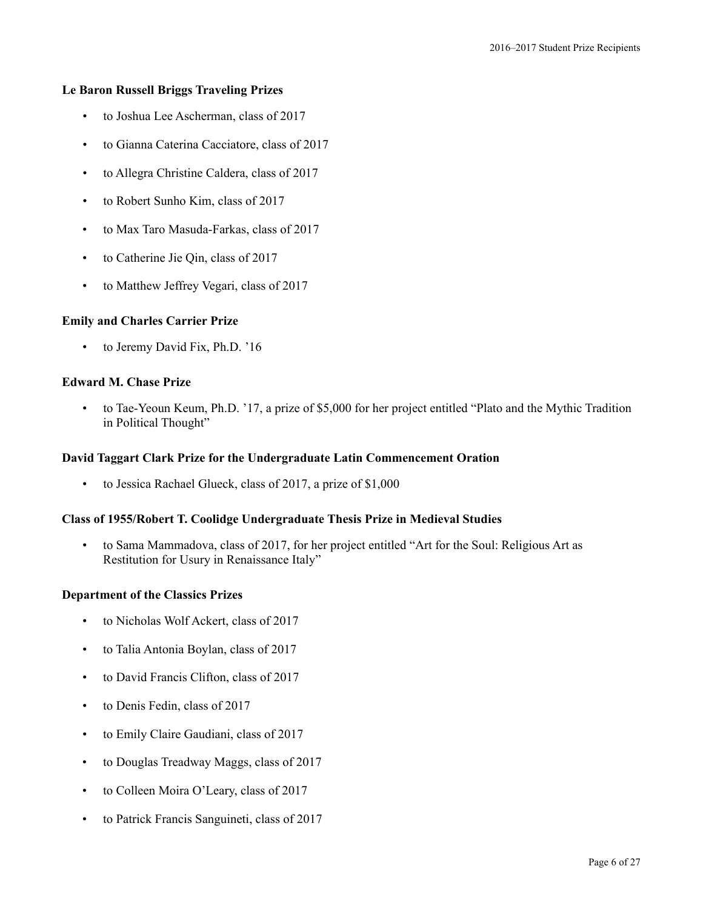### **Le Baron Russell Briggs Traveling Prizes**

- to Joshua Lee Ascherman, class of 2017
- to Gianna Caterina Cacciatore, class of 2017
- to Allegra Christine Caldera, class of 2017
- to Robert Sunho Kim, class of 2017
- to Max Taro Masuda-Farkas, class of 2017
- to Catherine Jie Qin, class of 2017
- to Matthew Jeffrey Vegari, class of 2017

# **Emily and Charles Carrier Prize**

to Jeremy David Fix, Ph.D. '16

### **Edward M. Chase Prize**

• to Tae-Yeoun Keum, Ph.D. '17, a prize of \$5,000 for her project entitled "Plato and the Mythic Tradition in Political Thought"

### **David Taggart Clark Prize for the Undergraduate Latin Commencement Oration**

• to Jessica Rachael Glueck, class of 2017, a prize of \$1,000

### **Class of 1955/Robert T. Coolidge Undergraduate Thesis Prize in Medieval Studies**

• to Sama Mammadova, class of 2017, for her project entitled "Art for the Soul: Religious Art as Restitution for Usury in Renaissance Italy"

### **Department of the Classics Prizes**

- to Nicholas Wolf Ackert, class of 2017
- to Talia Antonia Boylan, class of 2017
- to David Francis Clifton, class of 2017
- to Denis Fedin, class of 2017
- to Emily Claire Gaudiani, class of 2017
- to Douglas Treadway Maggs, class of 2017
- to Colleen Moira O'Leary, class of 2017
- to Patrick Francis Sanguineti, class of 2017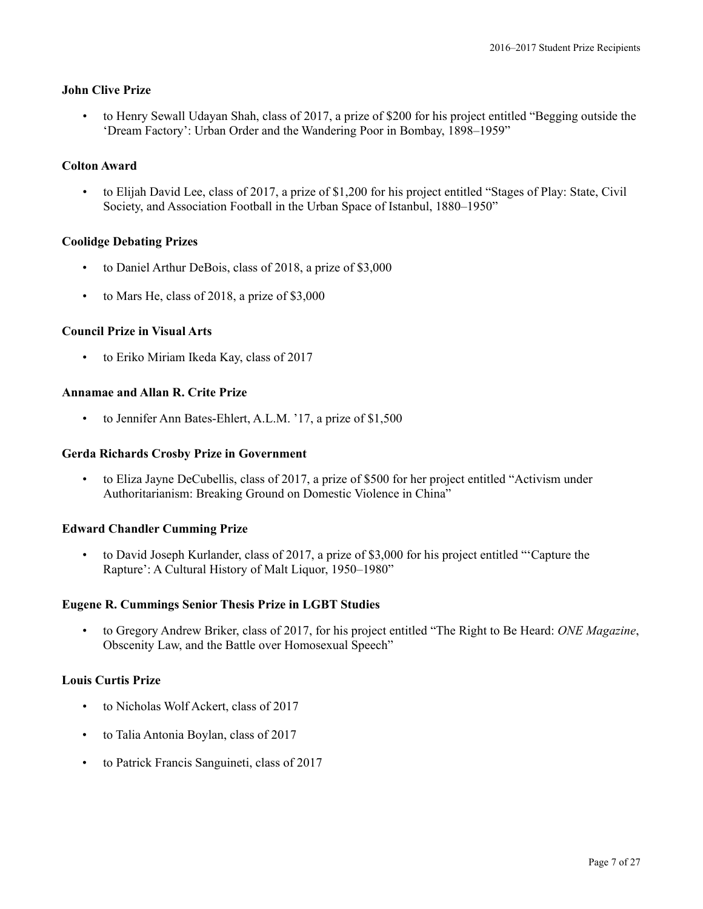### **John Clive Prize**

• to Henry Sewall Udayan Shah, class of 2017, a prize of \$200 for his project entitled "Begging outside the 'Dream Factory': Urban Order and the Wandering Poor in Bombay, 1898–1959"

### **Colton Award**

• to Elijah David Lee, class of 2017, a prize of \$1,200 for his project entitled "Stages of Play: State, Civil Society, and Association Football in the Urban Space of Istanbul, 1880–1950"

### **Coolidge Debating Prizes**

- to Daniel Arthur DeBois, class of 2018, a prize of \$3,000
- to Mars He, class of 2018, a prize of \$3,000

### **Council Prize in Visual Arts**

• to Eriko Miriam Ikeda Kay, class of 2017

### **Annamae and Allan R. Crite Prize**

to Jennifer Ann Bates-Ehlert, A.L.M. '17, a prize of \$1,500

### **Gerda Richards Crosby Prize in Government**

• to Eliza Jayne DeCubellis, class of 2017, a prize of \$500 for her project entitled "Activism under Authoritarianism: Breaking Ground on Domestic Violence in China"

#### **Edward Chandler Cumming Prize**

• to David Joseph Kurlander, class of 2017, a prize of \$3,000 for his project entitled "'Capture the Rapture': A Cultural History of Malt Liquor, 1950–1980"

#### **Eugene R. Cummings Senior Thesis Prize in LGBT Studies**

• to Gregory Andrew Briker, class of 2017, for his project entitled "The Right to Be Heard: *ONE Magazine*, Obscenity Law, and the Battle over Homosexual Speech"

#### **Louis Curtis Prize**

- to Nicholas Wolf Ackert, class of 2017
- to Talia Antonia Boylan, class of 2017
- to Patrick Francis Sanguineti, class of 2017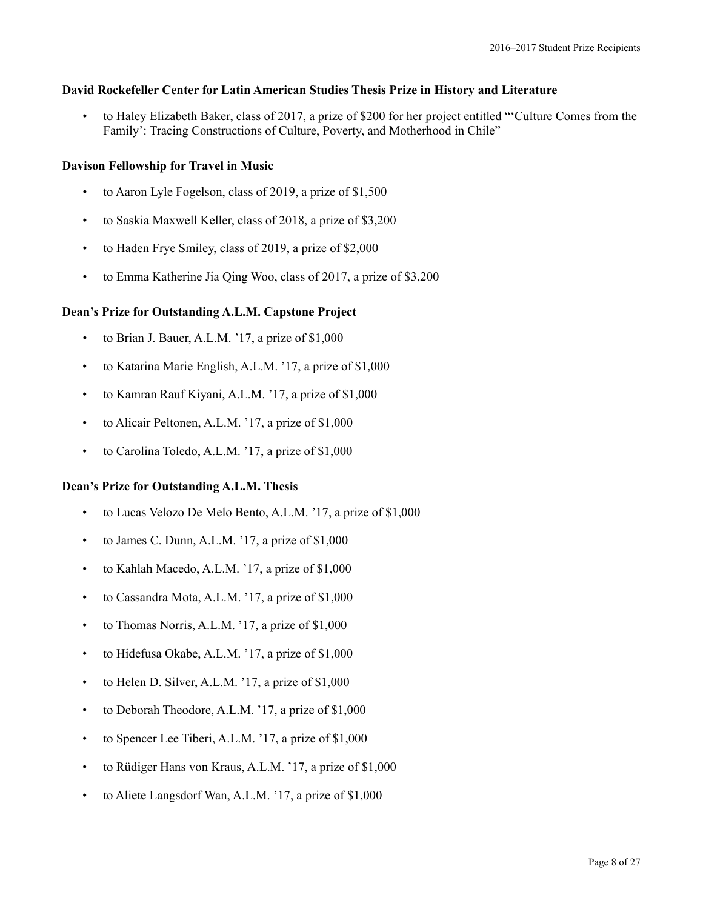### **David Rockefeller Center for Latin American Studies Thesis Prize in History and Literature**

• to Haley Elizabeth Baker, class of 2017, a prize of \$200 for her project entitled "'Culture Comes from the Family': Tracing Constructions of Culture, Poverty, and Motherhood in Chile"

# **Davison Fellowship for Travel in Music**

- to Aaron Lyle Fogelson, class of 2019, a prize of \$1,500
- to Saskia Maxwell Keller, class of 2018, a prize of \$3,200
- to Haden Frye Smiley, class of 2019, a prize of \$2,000
- to Emma Katherine Jia Qing Woo, class of 2017, a prize of \$3,200

# **Dean's Prize for Outstanding A.L.M. Capstone Project**

- to Brian J. Bauer, A.L.M. '17, a prize of \$1,000
- to Katarina Marie English, A.L.M. '17, a prize of \$1,000
- to Kamran Rauf Kiyani, A.L.M. '17, a prize of \$1,000
- to Alicair Peltonen, A.L.M. '17, a prize of \$1,000
- to Carolina Toledo, A.L.M. '17, a prize of \$1,000

### **Dean's Prize for Outstanding A.L.M. Thesis**

- to Lucas Velozo De Melo Bento, A.L.M. '17, a prize of \$1,000
- to James C. Dunn, A.L.M. '17, a prize of \$1,000
- to Kahlah Macedo, A.L.M. '17, a prize of \$1,000
- to Cassandra Mota, A.L.M. '17, a prize of \$1,000
- to Thomas Norris, A.L.M. '17, a prize of \$1,000
- to Hidefusa Okabe, A.L.M. '17, a prize of \$1,000
- to Helen D. Silver, A.L.M. '17, a prize of  $$1,000$
- to Deborah Theodore, A.L.M. '17, a prize of \$1,000
- to Spencer Lee Tiberi, A.L.M. '17, a prize of \$1,000
- to Rüdiger Hans von Kraus, A.L.M. '17, a prize of \$1,000
- to Aliete Langsdorf Wan, A.L.M. '17, a prize of \$1,000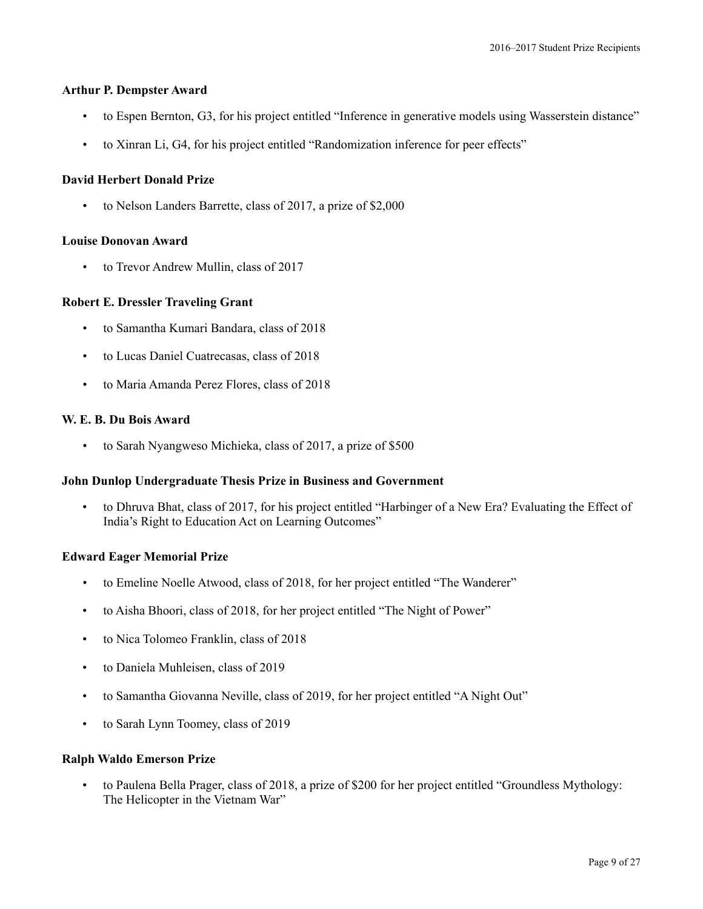### **Arthur P. Dempster Award**

- to Espen Bernton, G3, for his project entitled "Inference in generative models using Wasserstein distance"
- to Xinran Li, G4, for his project entitled "Randomization inference for peer effects"

### **David Herbert Donald Prize**

• to Nelson Landers Barrette, class of 2017, a prize of \$2,000

#### **Louise Donovan Award**

• to Trevor Andrew Mullin, class of 2017

### **Robert E. Dressler Traveling Grant**

- to Samantha Kumari Bandara, class of 2018
- to Lucas Daniel Cuatrecasas, class of 2018
- to Maria Amanda Perez Flores, class of 2018

### **W. E. B. Du Bois Award**

• to Sarah Nyangweso Michieka, class of 2017, a prize of \$500

#### **John Dunlop Undergraduate Thesis Prize in Business and Government**

• to Dhruva Bhat, class of 2017, for his project entitled "Harbinger of a New Era? Evaluating the Effect of India's Right to Education Act on Learning Outcomes"

#### **Edward Eager Memorial Prize**

- to Emeline Noelle Atwood, class of 2018, for her project entitled "The Wanderer"
- to Aisha Bhoori, class of 2018, for her project entitled "The Night of Power"
- to Nica Tolomeo Franklin, class of 2018
- to Daniela Muhleisen, class of 2019
- to Samantha Giovanna Neville, class of 2019, for her project entitled "A Night Out"
- to Sarah Lynn Toomey, class of 2019

#### **Ralph Waldo Emerson Prize**

• to Paulena Bella Prager, class of 2018, a prize of \$200 for her project entitled "Groundless Mythology: The Helicopter in the Vietnam War"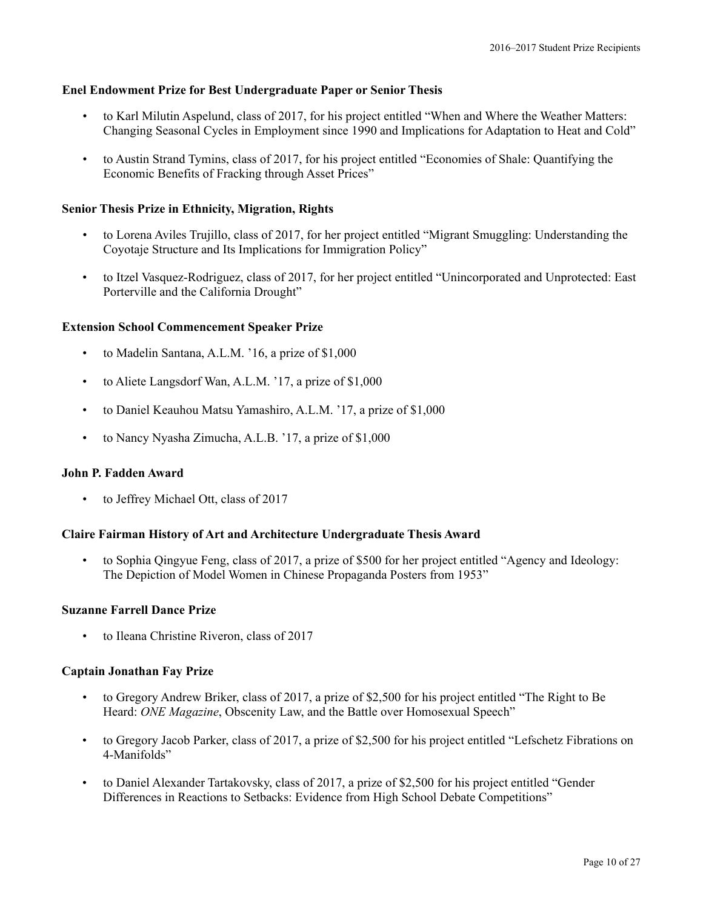### **Enel Endowment Prize for Best Undergraduate Paper or Senior Thesis**

- to Karl Milutin Aspelund, class of 2017, for his project entitled "When and Where the Weather Matters: Changing Seasonal Cycles in Employment since 1990 and Implications for Adaptation to Heat and Cold"
- to Austin Strand Tymins, class of 2017, for his project entitled "Economies of Shale: Quantifying the Economic Benefits of Fracking through Asset Prices"

#### **Senior Thesis Prize in Ethnicity, Migration, Rights**

- to Lorena Aviles Trujillo, class of 2017, for her project entitled "Migrant Smuggling: Understanding the Coyotaje Structure and Its Implications for Immigration Policy"
- to Itzel Vasquez-Rodriguez, class of 2017, for her project entitled "Unincorporated and Unprotected: East Porterville and the California Drought"

#### **Extension School Commencement Speaker Prize**

- to Madelin Santana, A.L.M. '16, a prize of \$1,000
- to Aliete Langsdorf Wan, A.L.M. '17, a prize of \$1,000
- to Daniel Keauhou Matsu Yamashiro, A.L.M. '17, a prize of \$1,000
- to Nancy Nyasha Zimucha, A.L.B. '17, a prize of \$1,000

### **John P. Fadden Award**

• to Jeffrey Michael Ott, class of 2017

#### **Claire Fairman History of Art and Architecture Undergraduate Thesis Award**

• to Sophia Qingyue Feng, class of 2017, a prize of \$500 for her project entitled "Agency and Ideology: The Depiction of Model Women in Chinese Propaganda Posters from 1953"

#### **Suzanne Farrell Dance Prize**

• to Ileana Christine Riveron, class of 2017

#### **Captain Jonathan Fay Prize**

- to Gregory Andrew Briker, class of 2017, a prize of \$2,500 for his project entitled "The Right to Be Heard: *ONE Magazine*, Obscenity Law, and the Battle over Homosexual Speech"
- to Gregory Jacob Parker, class of 2017, a prize of \$2,500 for his project entitled "Lefschetz Fibrations on 4-Manifolds"
- to Daniel Alexander Tartakovsky, class of 2017, a prize of \$2,500 for his project entitled "Gender Differences in Reactions to Setbacks: Evidence from High School Debate Competitions"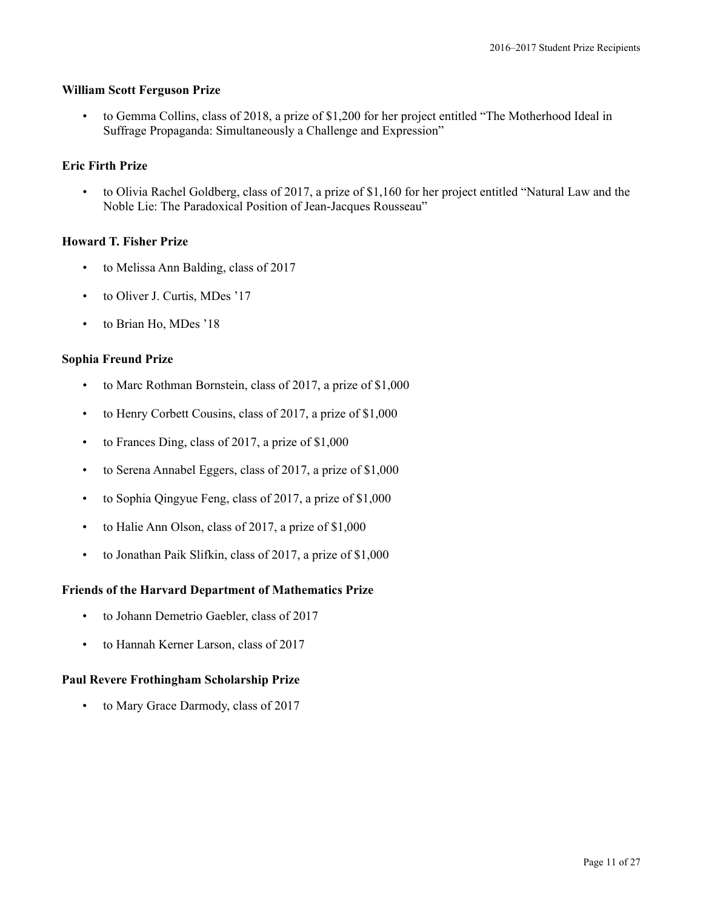### **William Scott Ferguson Prize**

• to Gemma Collins, class of 2018, a prize of \$1,200 for her project entitled "The Motherhood Ideal in Suffrage Propaganda: Simultaneously a Challenge and Expression"

### **Eric Firth Prize**

• to Olivia Rachel Goldberg, class of 2017, a prize of \$1,160 for her project entitled "Natural Law and the Noble Lie: The Paradoxical Position of Jean-Jacques Rousseau"

### **Howard T. Fisher Prize**

- to Melissa Ann Balding, class of 2017
- to Oliver J. Curtis, MDes '17
- to Brian Ho, MDes '18

### **Sophia Freund Prize**

- to Marc Rothman Bornstein, class of 2017, a prize of \$1,000
- to Henry Corbett Cousins, class of 2017, a prize of \$1,000
- to Frances Ding, class of 2017, a prize of \$1,000
- to Serena Annabel Eggers, class of 2017, a prize of \$1,000
- to Sophia Qingyue Feng, class of 2017, a prize of \$1,000
- to Halie Ann Olson, class of 2017, a prize of \$1,000
- to Jonathan Paik Slifkin, class of 2017, a prize of \$1,000

### **Friends of the Harvard Department of Mathematics Prize**

- to Johann Demetrio Gaebler, class of 2017
- to Hannah Kerner Larson, class of 2017

### **Paul Revere Frothingham Scholarship Prize**

• to Mary Grace Darmody, class of 2017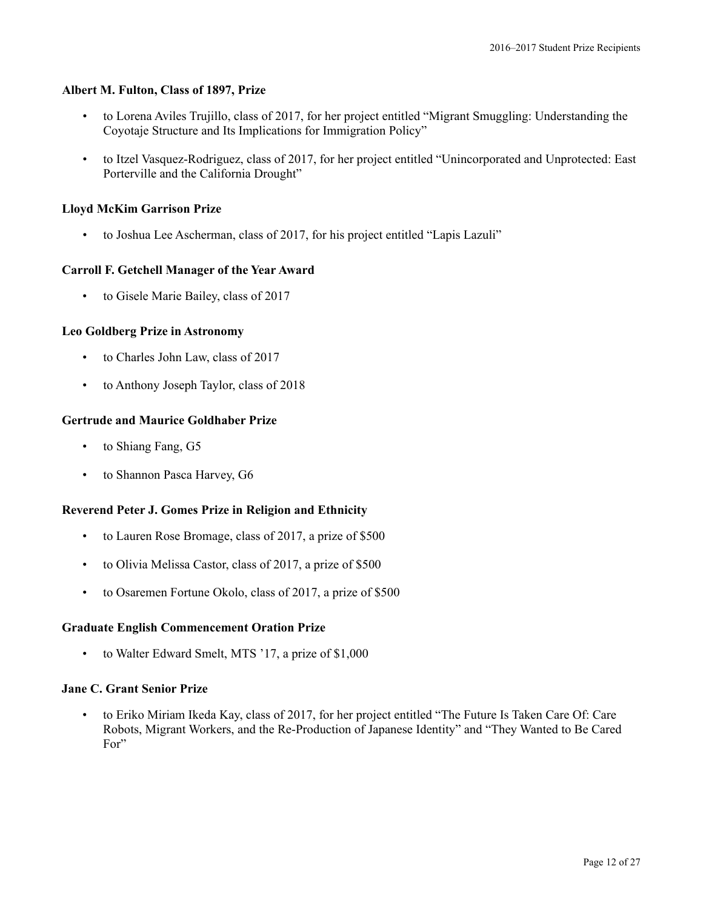### **Albert M. Fulton, Class of 1897, Prize**

- to Lorena Aviles Trujillo, class of 2017, for her project entitled "Migrant Smuggling: Understanding the Coyotaje Structure and Its Implications for Immigration Policy"
- to Itzel Vasquez-Rodriguez, class of 2017, for her project entitled "Unincorporated and Unprotected: East Porterville and the California Drought"

# **Lloyd McKim Garrison Prize**

• to Joshua Lee Ascherman, class of 2017, for his project entitled "Lapis Lazuli"

### **Carroll F. Getchell Manager of the Year Award**

• to Gisele Marie Bailey, class of 2017

### **Leo Goldberg Prize in Astronomy**

- to Charles John Law, class of 2017
- to Anthony Joseph Taylor, class of 2018

### **Gertrude and Maurice Goldhaber Prize**

- to Shiang Fang, G5
- to Shannon Pasca Harvey, G6

### **Reverend Peter J. Gomes Prize in Religion and Ethnicity**

- to Lauren Rose Bromage, class of 2017, a prize of \$500
- to Olivia Melissa Castor, class of 2017, a prize of \$500
- to Osaremen Fortune Okolo, class of 2017, a prize of \$500

### **Graduate English Commencement Oration Prize**

• to Walter Edward Smelt, MTS '17, a prize of \$1,000

#### **Jane C. Grant Senior Prize**

• to Eriko Miriam Ikeda Kay, class of 2017, for her project entitled "The Future Is Taken Care Of: Care Robots, Migrant Workers, and the Re-Production of Japanese Identity" and "They Wanted to Be Cared For"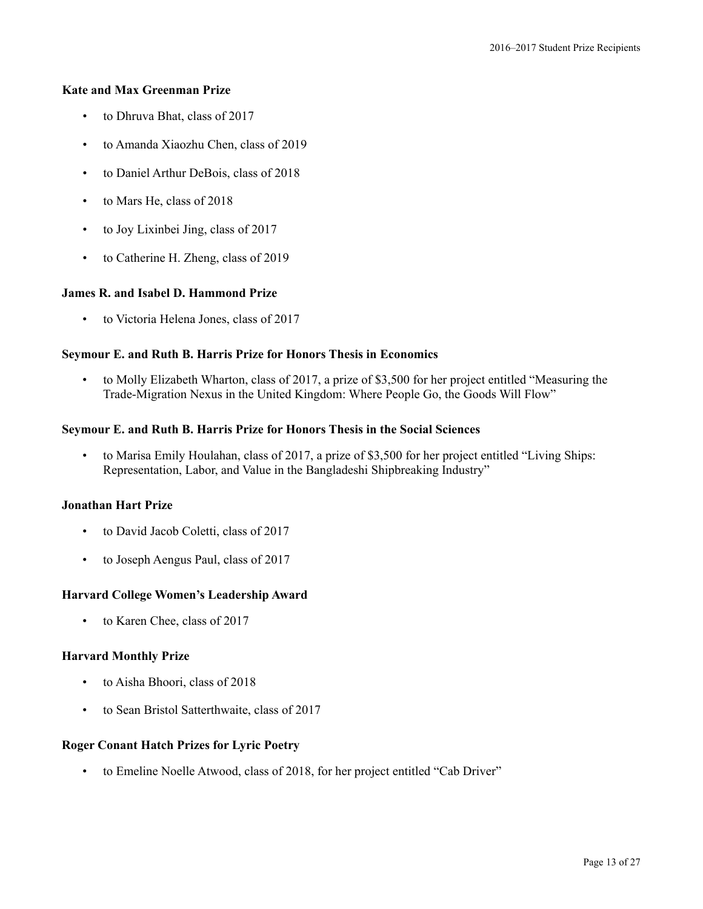### **Kate and Max Greenman Prize**

- to Dhruva Bhat, class of 2017
- to Amanda Xiaozhu Chen, class of 2019
- to Daniel Arthur DeBois, class of 2018
- to Mars He, class of 2018
- to Joy Lixinbei Jing, class of 2017
- to Catherine H. Zheng, class of 2019

### **James R. and Isabel D. Hammond Prize**

• to Victoria Helena Jones, class of 2017

# **Seymour E. and Ruth B. Harris Prize for Honors Thesis in Economics**

• to Molly Elizabeth Wharton, class of 2017, a prize of \$3,500 for her project entitled "Measuring the Trade-Migration Nexus in the United Kingdom: Where People Go, the Goods Will Flow"

### **Seymour E. and Ruth B. Harris Prize for Honors Thesis in the Social Sciences**

• to Marisa Emily Houlahan, class of 2017, a prize of \$3,500 for her project entitled "Living Ships: Representation, Labor, and Value in the Bangladeshi Shipbreaking Industry"

#### **Jonathan Hart Prize**

- to David Jacob Coletti, class of 2017
- to Joseph Aengus Paul, class of 2017

#### **Harvard College Women's Leadership Award**

• to Karen Chee, class of 2017

### **Harvard Monthly Prize**

- to Aisha Bhoori, class of 2018
- to Sean Bristol Satterthwaite, class of 2017

#### **Roger Conant Hatch Prizes for Lyric Poetry**

• to Emeline Noelle Atwood, class of 2018, for her project entitled "Cab Driver"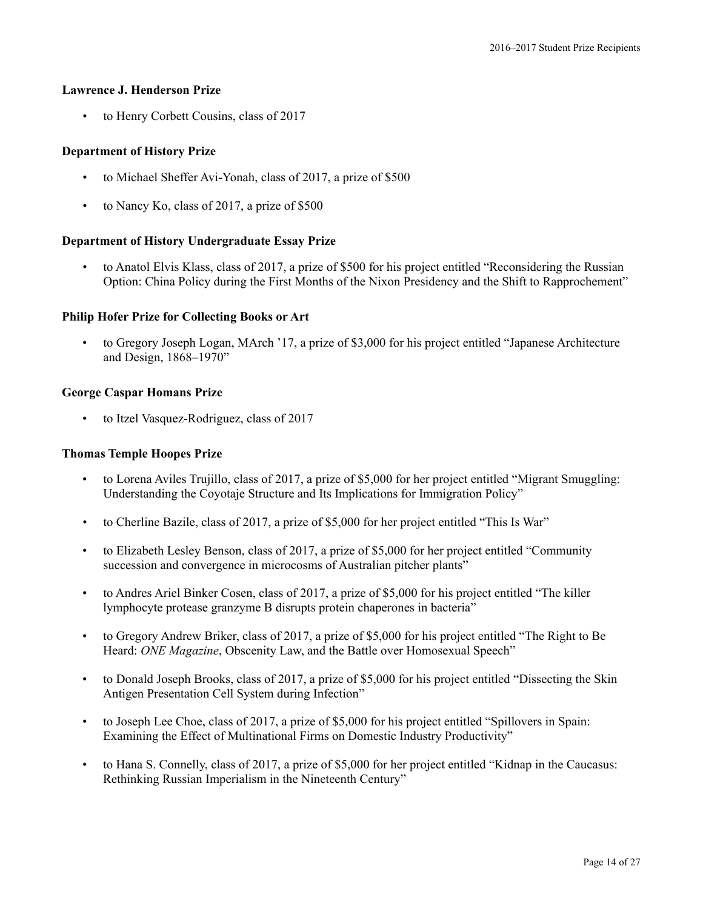### **Lawrence J. Henderson Prize**

• to Henry Corbett Cousins, class of 2017

### **Department of History Prize**

- to Michael Sheffer Avi-Yonah, class of 2017, a prize of \$500
- to Nancy Ko, class of 2017, a prize of \$500

### **Department of History Undergraduate Essay Prize**

• to Anatol Elvis Klass, class of 2017, a prize of \$500 for his project entitled "Reconsidering the Russian Option: China Policy during the First Months of the Nixon Presidency and the Shift to Rapprochement"

# **Philip Hofer Prize for Collecting Books or Art**

• to Gregory Joseph Logan, MArch '17, a prize of \$3,000 for his project entitled "Japanese Architecture and Design, 1868–1970"

### **George Caspar Homans Prize**

• to Itzel Vasquez-Rodriguez, class of 2017

### **Thomas Temple Hoopes Prize**

- to Lorena Aviles Trujillo, class of 2017, a prize of \$5,000 for her project entitled "Migrant Smuggling: Understanding the Coyotaje Structure and Its Implications for Immigration Policy"
- to Cherline Bazile, class of 2017, a prize of \$5,000 for her project entitled "This Is War"
- to Elizabeth Lesley Benson, class of 2017, a prize of \$5,000 for her project entitled "Community succession and convergence in microcosms of Australian pitcher plants"
- to Andres Ariel Binker Cosen, class of 2017, a prize of \$5,000 for his project entitled "The killer lymphocyte protease granzyme B disrupts protein chaperones in bacteria"
- to Gregory Andrew Briker, class of 2017, a prize of \$5,000 for his project entitled "The Right to Be Heard: *ONE Magazine*, Obscenity Law, and the Battle over Homosexual Speech"
- to Donald Joseph Brooks, class of 2017, a prize of \$5,000 for his project entitled "Dissecting the Skin Antigen Presentation Cell System during Infection"
- to Joseph Lee Choe, class of 2017, a prize of \$5,000 for his project entitled "Spillovers in Spain: Examining the Effect of Multinational Firms on Domestic Industry Productivity"
- to Hana S. Connelly, class of 2017, a prize of \$5,000 for her project entitled "Kidnap in the Caucasus: Rethinking Russian Imperialism in the Nineteenth Century"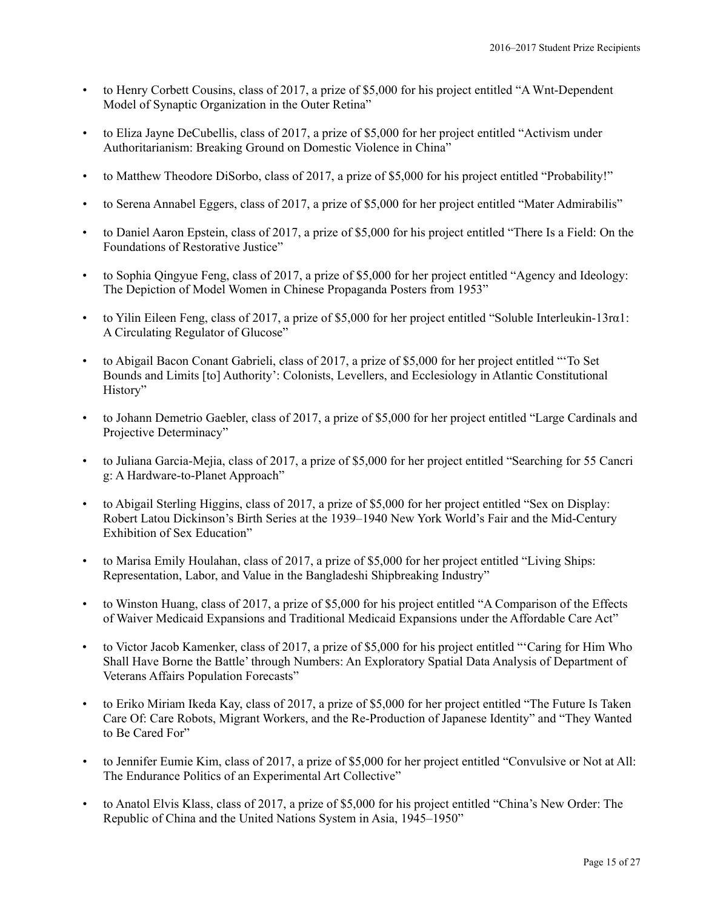- to Henry Corbett Cousins, class of 2017, a prize of \$5,000 for his project entitled "A Wnt-Dependent Model of Synaptic Organization in the Outer Retina"
- to Eliza Jayne DeCubellis, class of 2017, a prize of \$5,000 for her project entitled "Activism under Authoritarianism: Breaking Ground on Domestic Violence in China"
- to Matthew Theodore DiSorbo, class of 2017, a prize of \$5,000 for his project entitled "Probability!"
- to Serena Annabel Eggers, class of 2017, a prize of \$5,000 for her project entitled "Mater Admirabilis"
- to Daniel Aaron Epstein, class of 2017, a prize of \$5,000 for his project entitled "There Is a Field: On the Foundations of Restorative Justice"
- to Sophia Qingyue Feng, class of 2017, a prize of \$5,000 for her project entitled "Agency and Ideology: The Depiction of Model Women in Chinese Propaganda Posters from 1953"
- to Yilin Eileen Feng, class of 2017, a prize of \$5,000 for her project entitled "Soluble Interleukin-13ra1: A Circulating Regulator of Glucose"
- to Abigail Bacon Conant Gabrieli, class of 2017, a prize of \$5,000 for her project entitled "'To Set Bounds and Limits [to] Authority': Colonists, Levellers, and Ecclesiology in Atlantic Constitutional History"
- to Johann Demetrio Gaebler, class of 2017, a prize of \$5,000 for her project entitled "Large Cardinals and Projective Determinacy"
- to Juliana Garcia-Mejia, class of 2017, a prize of \$5,000 for her project entitled "Searching for 55 Cancri g: A Hardware-to-Planet Approach"
- to Abigail Sterling Higgins, class of 2017, a prize of \$5,000 for her project entitled "Sex on Display: Robert Latou Dickinson's Birth Series at the 1939–1940 New York World's Fair and the Mid-Century Exhibition of Sex Education"
- to Marisa Emily Houlahan, class of 2017, a prize of \$5,000 for her project entitled "Living Ships: Representation, Labor, and Value in the Bangladeshi Shipbreaking Industry"
- to Winston Huang, class of 2017, a prize of \$5,000 for his project entitled "A Comparison of the Effects of Waiver Medicaid Expansions and Traditional Medicaid Expansions under the Affordable Care Act"
- to Victor Jacob Kamenker, class of 2017, a prize of \$5,000 for his project entitled "'Caring for Him Who Shall Have Borne the Battle' through Numbers: An Exploratory Spatial Data Analysis of Department of Veterans Affairs Population Forecasts"
- to Eriko Miriam Ikeda Kay, class of 2017, a prize of \$5,000 for her project entitled "The Future Is Taken Care Of: Care Robots, Migrant Workers, and the Re-Production of Japanese Identity" and "They Wanted to Be Cared For"
- to Jennifer Eumie Kim, class of 2017, a prize of \$5,000 for her project entitled "Convulsive or Not at All: The Endurance Politics of an Experimental Art Collective"
- to Anatol Elvis Klass, class of 2017, a prize of \$5,000 for his project entitled "China's New Order: The Republic of China and the United Nations System in Asia, 1945–1950"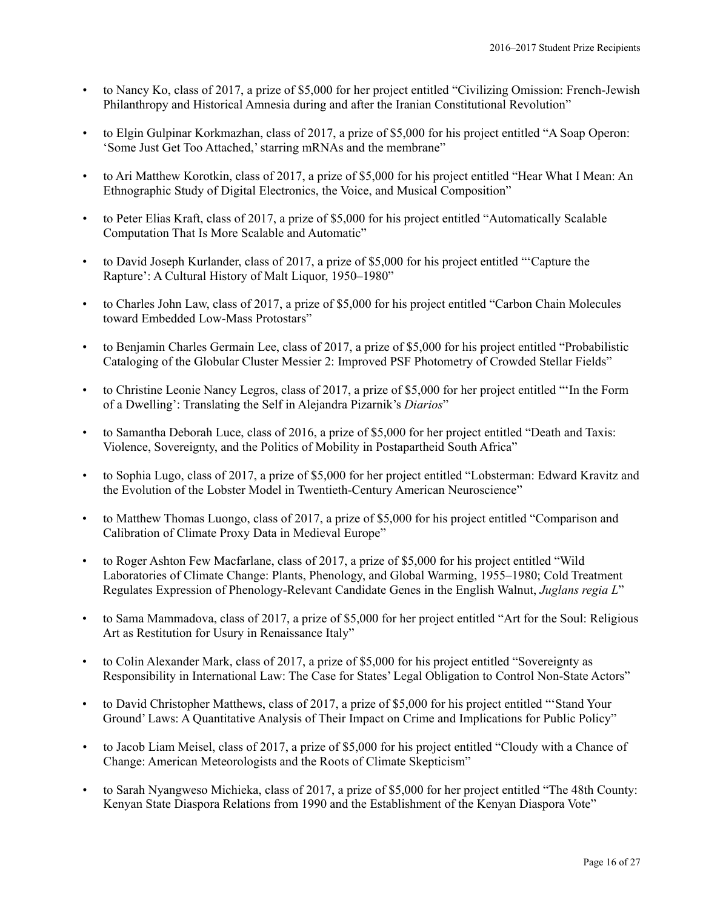- to Nancy Ko, class of 2017, a prize of \$5,000 for her project entitled "Civilizing Omission: French-Jewish Philanthropy and Historical Amnesia during and after the Iranian Constitutional Revolution"
- to Elgin Gulpinar Korkmazhan, class of 2017, a prize of \$5,000 for his project entitled "A Soap Operon: 'Some Just Get Too Attached,'starring mRNAs and the membrane"
- to Ari Matthew Korotkin, class of 2017, a prize of \$5,000 for his project entitled "Hear What I Mean: An Ethnographic Study of Digital Electronics, the Voice, and Musical Composition"
- to Peter Elias Kraft, class of 2017, a prize of \$5,000 for his project entitled "Automatically Scalable Computation That Is More Scalable and Automatic"
- to David Joseph Kurlander, class of 2017, a prize of \$5,000 for his project entitled "'Capture the Rapture': A Cultural History of Malt Liquor, 1950–1980"
- to Charles John Law, class of 2017, a prize of \$5,000 for his project entitled "Carbon Chain Molecules toward Embedded Low-Mass Protostars"
- to Benjamin Charles Germain Lee, class of 2017, a prize of \$5,000 for his project entitled "Probabilistic Cataloging of the Globular Cluster Messier 2: Improved PSF Photometry of Crowded Stellar Fields"
- to Christine Leonie Nancy Legros, class of 2017, a prize of \$5,000 for her project entitled "'In the Form of a Dwelling': Translating the Self in Alejandra Pizarnik's *Diarios*"
- to Samantha Deborah Luce, class of 2016, a prize of \$5,000 for her project entitled "Death and Taxis: Violence, Sovereignty, and the Politics of Mobility in Postapartheid South Africa"
- to Sophia Lugo, class of 2017, a prize of \$5,000 for her project entitled "Lobsterman: Edward Kravitz and the Evolution of the Lobster Model in Twentieth-Century American Neuroscience"
- to Matthew Thomas Luongo, class of 2017, a prize of \$5,000 for his project entitled "Comparison and Calibration of Climate Proxy Data in Medieval Europe"
- to Roger Ashton Few Macfarlane, class of 2017, a prize of \$5,000 for his project entitled "Wild Laboratories of Climate Change: Plants, Phenology, and Global Warming, 1955–1980; Cold Treatment Regulates Expression of Phenology-Relevant Candidate Genes in the English Walnut, *Juglans regia L*"
- to Sama Mammadova, class of 2017, a prize of \$5,000 for her project entitled "Art for the Soul: Religious Art as Restitution for Usury in Renaissance Italy"
- to Colin Alexander Mark, class of 2017, a prize of \$5,000 for his project entitled "Sovereignty as Responsibility in International Law: The Case for States' Legal Obligation to Control Non-State Actors"
- to David Christopher Matthews, class of 2017, a prize of \$5,000 for his project entitled "'Stand Your Ground' Laws: A Quantitative Analysis of Their Impact on Crime and Implications for Public Policy"
- to Jacob Liam Meisel, class of 2017, a prize of \$5,000 for his project entitled "Cloudy with a Chance of Change: American Meteorologists and the Roots of Climate Skepticism"
- to Sarah Nyangweso Michieka, class of 2017, a prize of \$5,000 for her project entitled "The 48th County: Kenyan State Diaspora Relations from 1990 and the Establishment of the Kenyan Diaspora Vote"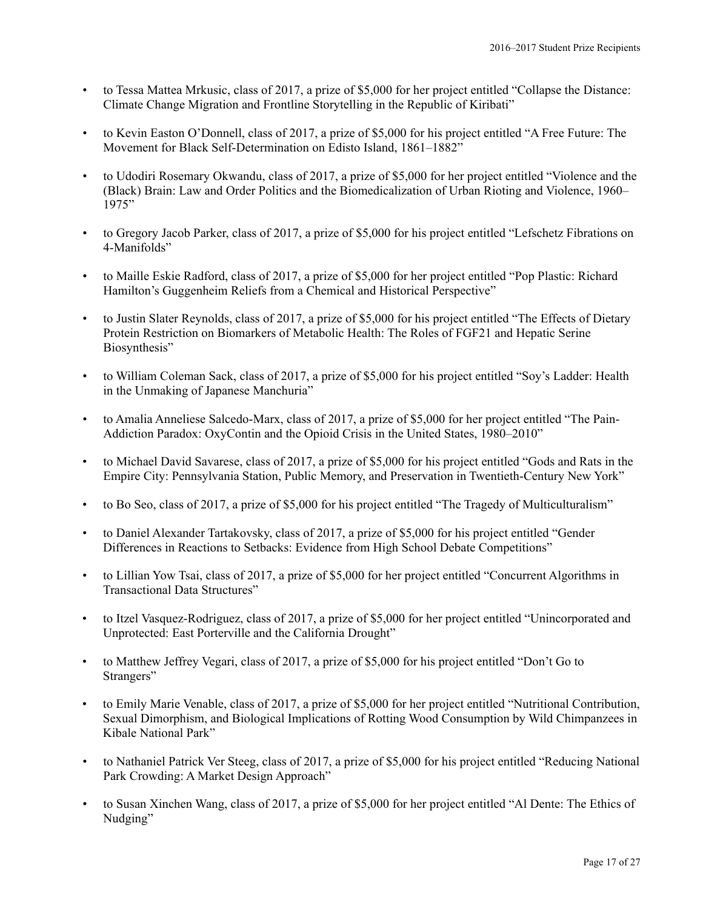- to Tessa Mattea Mrkusic, class of 2017, a prize of \$5,000 for her project entitled "Collapse the Distance: Climate Change Migration and Frontline Storytelling in the Republic of Kiribati"
- to Kevin Easton O'Donnell, class of 2017, a prize of \$5,000 for his project entitled "A Free Future: The Movement for Black Self-Determination on Edisto Island, 1861–1882<sup>"</sup>
- to Udodiri Rosemary Okwandu, class of 2017, a prize of \$5,000 for her project entitled "Violence and the (Black) Brain: Law and Order Politics and the Biomedicalization of Urban Rioting and Violence, 1960– 1975"
- to Gregory Jacob Parker, class of 2017, a prize of \$5,000 for his project entitled "Lefschetz Fibrations on 4-Manifolds"
- to Maille Eskie Radford, class of 2017, a prize of \$5,000 for her project entitled "Pop Plastic: Richard Hamilton's Guggenheim Reliefs from a Chemical and Historical Perspective"
- to Justin Slater Reynolds, class of 2017, a prize of \$5,000 for his project entitled "The Effects of Dietary Protein Restriction on Biomarkers of Metabolic Health: The Roles of FGF21 and Hepatic Serine Biosynthesis"
- to William Coleman Sack, class of 2017, a prize of \$5,000 for his project entitled "Soy's Ladder: Health in the Unmaking of Japanese Manchuria"
- to Amalia Anneliese Salcedo-Marx, class of 2017, a prize of \$5,000 for her project entitled "The Pain-Addiction Paradox: OxyContin and the Opioid Crisis in the United States, 1980–2010"
- to Michael David Savarese, class of 2017, a prize of \$5,000 for his project entitled "Gods and Rats in the Empire City: Pennsylvania Station, Public Memory, and Preservation in Twentieth-Century New York"
- to Bo Seo, class of 2017, a prize of \$5,000 for his project entitled "The Tragedy of Multiculturalism"
- to Daniel Alexander Tartakovsky, class of 2017, a prize of \$5,000 for his project entitled "Gender Differences in Reactions to Setbacks: Evidence from High School Debate Competitions"
- to Lillian Yow Tsai, class of 2017, a prize of \$5,000 for her project entitled "Concurrent Algorithms in Transactional Data Structures"
- to Itzel Vasquez-Rodriguez, class of 2017, a prize of \$5,000 for her project entitled "Unincorporated and Unprotected: East Porterville and the California Drought"
- to Matthew Jeffrey Vegari, class of 2017, a prize of \$5,000 for his project entitled "Don't Go to Strangers"
- to Emily Marie Venable, class of 2017, a prize of \$5,000 for her project entitled "Nutritional Contribution, Sexual Dimorphism, and Biological Implications of Rotting Wood Consumption by Wild Chimpanzees in Kibale National Park"
- to Nathaniel Patrick Ver Steeg, class of 2017, a prize of \$5,000 for his project entitled "Reducing National Park Crowding: A Market Design Approach"
- to Susan Xinchen Wang, class of 2017, a prize of \$5,000 for her project entitled "Al Dente: The Ethics of Nudging"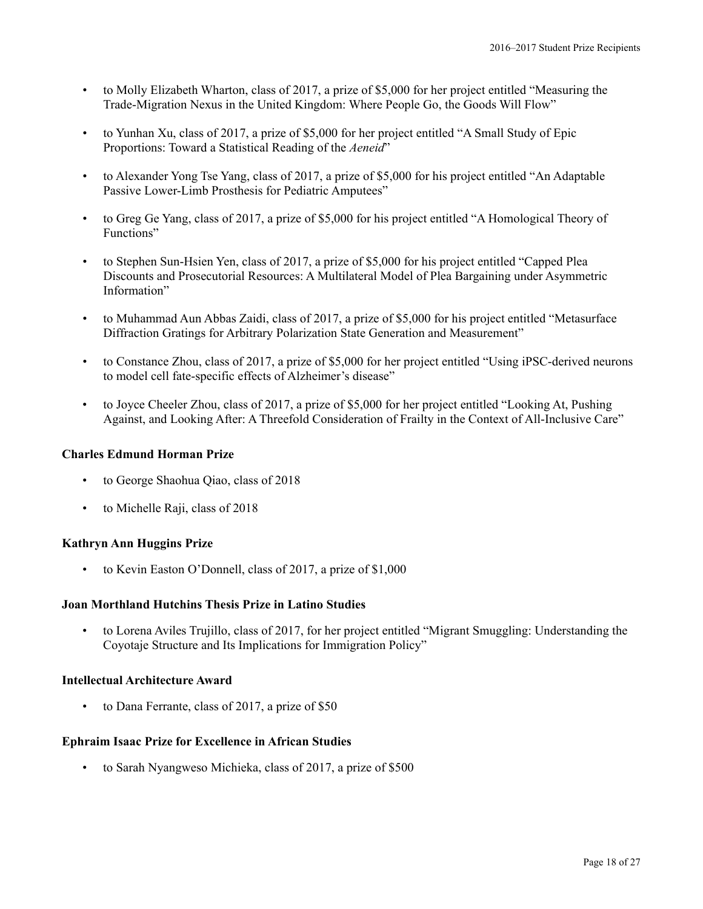- to Molly Elizabeth Wharton, class of 2017, a prize of \$5,000 for her project entitled "Measuring the Trade-Migration Nexus in the United Kingdom: Where People Go, the Goods Will Flow"
- to Yunhan Xu, class of 2017, a prize of \$5,000 for her project entitled "A Small Study of Epic Proportions: Toward a Statistical Reading of the *Aeneid*"
- to Alexander Yong Tse Yang, class of 2017, a prize of \$5,000 for his project entitled "An Adaptable Passive Lower-Limb Prosthesis for Pediatric Amputees"
- to Greg Ge Yang, class of 2017, a prize of \$5,000 for his project entitled "A Homological Theory of Functions"
- to Stephen Sun-Hsien Yen, class of 2017, a prize of \$5,000 for his project entitled "Capped Plea Discounts and Prosecutorial Resources: A Multilateral Model of Plea Bargaining under Asymmetric Information"
- to Muhammad Aun Abbas Zaidi, class of 2017, a prize of \$5,000 for his project entitled "Metasurface Diffraction Gratings for Arbitrary Polarization State Generation and Measurement"
- to Constance Zhou, class of 2017, a prize of \$5,000 for her project entitled "Using iPSC-derived neurons to model cell fate-specific effects of Alzheimer's disease"
- to Joyce Cheeler Zhou, class of 2017, a prize of \$5,000 for her project entitled "Looking At, Pushing Against, and Looking After: A Threefold Consideration of Frailty in the Context of All-Inclusive Care"

### **Charles Edmund Horman Prize**

- to George Shaohua Qiao, class of 2018
- to Michelle Raji, class of 2018

### **Kathryn Ann Huggins Prize**

• to Kevin Easton O'Donnell, class of 2017, a prize of \$1,000

#### **Joan Morthland Hutchins Thesis Prize in Latino Studies**

• to Lorena Aviles Trujillo, class of 2017, for her project entitled "Migrant Smuggling: Understanding the Coyotaje Structure and Its Implications for Immigration Policy"

#### **Intellectual Architecture Award**

• to Dana Ferrante, class of 2017, a prize of \$50

### **Ephraim Isaac Prize for Excellence in African Studies**

• to Sarah Nyangweso Michieka, class of 2017, a prize of \$500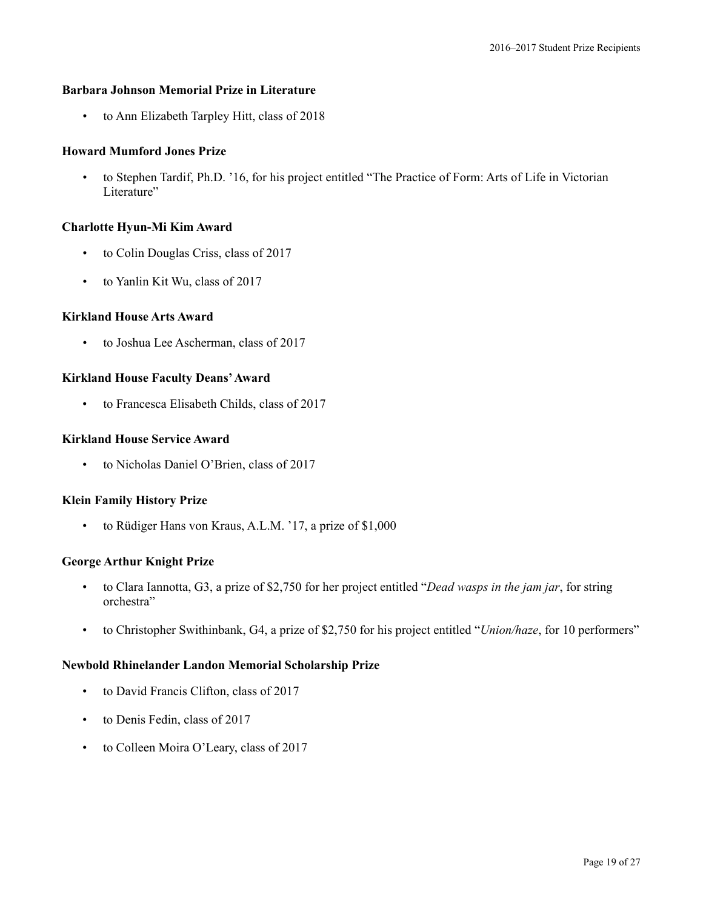### **Barbara Johnson Memorial Prize in Literature**

• to Ann Elizabeth Tarpley Hitt, class of 2018

### **Howard Mumford Jones Prize**

• to Stephen Tardif, Ph.D. '16, for his project entitled "The Practice of Form: Arts of Life in Victorian Literature"

#### **Charlotte Hyun-Mi Kim Award**

- to Colin Douglas Criss, class of 2017
- to Yanlin Kit Wu, class of 2017

### **Kirkland House Arts Award**

• to Joshua Lee Ascherman, class of 2017

### **Kirkland House Faculty Deans'Award**

• to Francesca Elisabeth Childs, class of 2017

### **Kirkland House Service Award**

• to Nicholas Daniel O'Brien, class of 2017

#### **Klein Family History Prize**

• to Rüdiger Hans von Kraus, A.L.M. '17, a prize of \$1,000

### **George Arthur Knight Prize**

- to Clara Iannotta, G3, a prize of \$2,750 for her project entitled "*Dead wasps in the jam jar*, for string orchestra"
- to Christopher Swithinbank, G4, a prize of \$2,750 for his project entitled "*Union/haze*, for 10 performers"

### **Newbold Rhinelander Landon Memorial Scholarship Prize**

- to David Francis Clifton, class of 2017
- to Denis Fedin, class of 2017
- to Colleen Moira O'Leary, class of 2017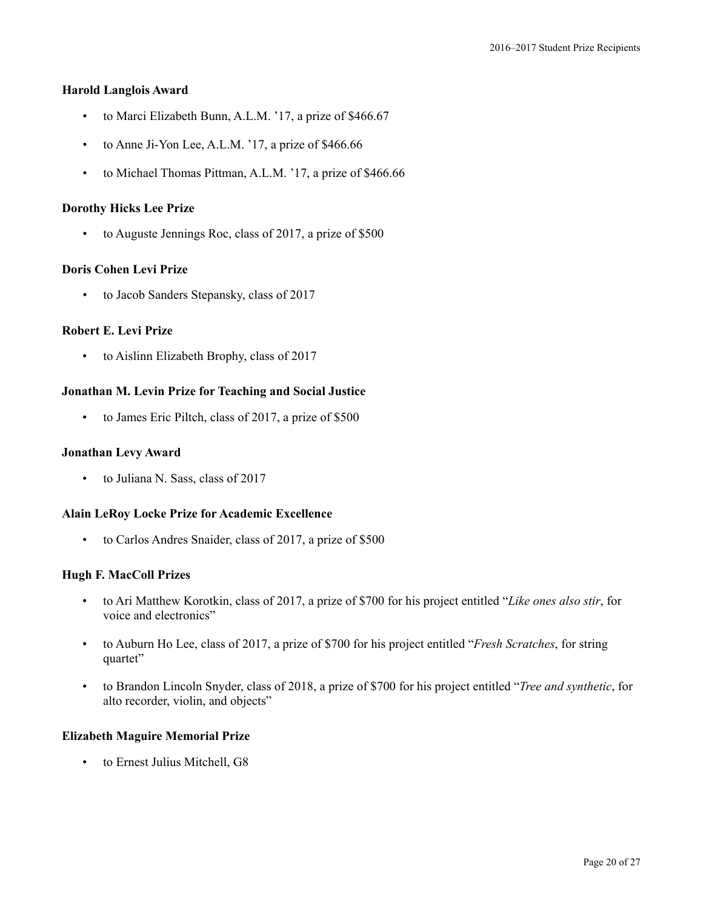#### **Harold Langlois Award**

- to Marci Elizabeth Bunn, A.L.M. '17, a prize of \$466.67
- to Anne Ji-Yon Lee, A.L.M. '17, a prize of \$466.66
- to Michael Thomas Pittman, A.L.M. '17, a prize of \$466.66

### **Dorothy Hicks Lee Prize**

• to Auguste Jennings Roc, class of 2017, a prize of \$500

### **Doris Cohen Levi Prize**

• to Jacob Sanders Stepansky, class of 2017

### **Robert E. Levi Prize**

• to Aislinn Elizabeth Brophy, class of 2017

### **Jonathan M. Levin Prize for Teaching and Social Justice**

• to James Eric Piltch, class of 2017, a prize of \$500

#### **Jonathan Levy Award**

• to Juliana N. Sass, class of 2017

### **Alain LeRoy Locke Prize for Academic Excellence**

• to Carlos Andres Snaider, class of 2017, a prize of \$500

### **Hugh F. MacColl Prizes**

- to Ari Matthew Korotkin, class of 2017, a prize of \$700 for his project entitled "*Like ones also stir*, for voice and electronics"
- to Auburn Ho Lee, class of 2017, a prize of \$700 for his project entitled "*Fresh Scratches*, for string quartet"
- to Brandon Lincoln Snyder, class of 2018, a prize of \$700 for his project entitled "*Tree and synthetic*, for alto recorder, violin, and objects"

### **Elizabeth Maguire Memorial Prize**

• to Ernest Julius Mitchell, G8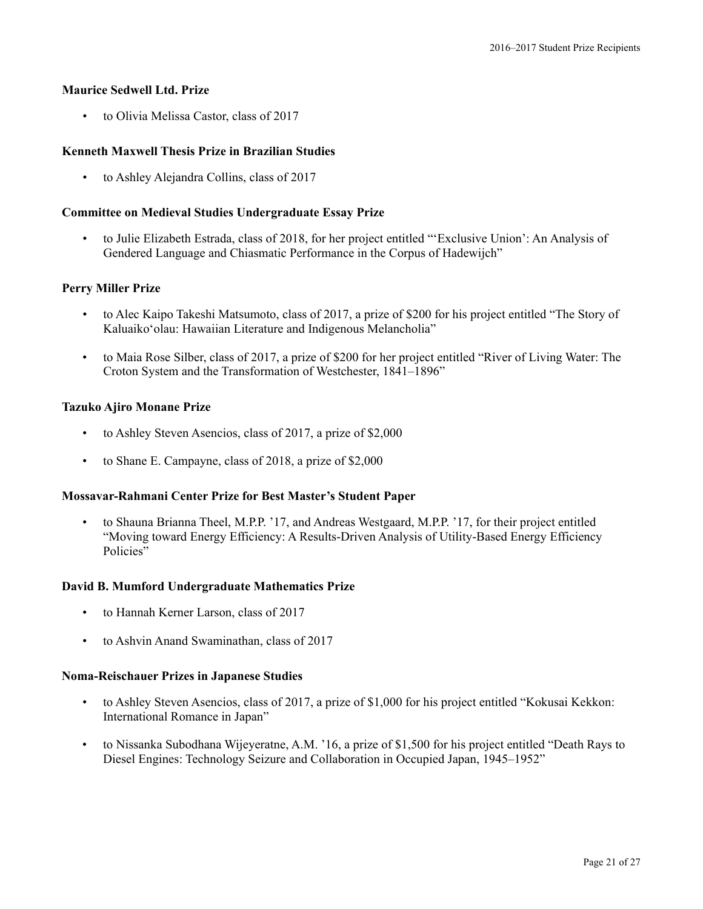### **Maurice Sedwell Ltd. Prize**

• to Olivia Melissa Castor, class of 2017

### **Kenneth Maxwell Thesis Prize in Brazilian Studies**

• to Ashley Alejandra Collins, class of 2017

#### **Committee on Medieval Studies Undergraduate Essay Prize**

• to Julie Elizabeth Estrada, class of 2018, for her project entitled "'Exclusive Union': An Analysis of Gendered Language and Chiasmatic Performance in the Corpus of Hadewijch"

#### **Perry Miller Prize**

- to Alec Kaipo Takeshi Matsumoto, class of 2017, a prize of \$200 for his project entitled "The Story of Kaluaiko'olau: Hawaiian Literature and Indigenous Melancholia"
- to Maia Rose Silber, class of 2017, a prize of \$200 for her project entitled "River of Living Water: The Croton System and the Transformation of Westchester, 1841–1896"

#### **Tazuko Ajiro Monane Prize**

- to Ashley Steven Asencios, class of 2017, a prize of \$2,000
- to Shane E. Campayne, class of 2018, a prize of \$2,000

#### **Mossavar-Rahmani Center Prize for Best Master's Student Paper**

• to Shauna Brianna Theel, M.P.P. '17, and Andreas Westgaard, M.P.P. '17, for their project entitled "Moving toward Energy Efficiency: A Results-Driven Analysis of Utility-Based Energy Efficiency Policies"

### **David B. Mumford Undergraduate Mathematics Prize**

- to Hannah Kerner Larson, class of 2017
- to Ashvin Anand Swaminathan, class of 2017

#### **Noma-Reischauer Prizes in Japanese Studies**

- to Ashley Steven Asencios, class of 2017, a prize of \$1,000 for his project entitled "Kokusai Kekkon: International Romance in Japan"
- to Nissanka Subodhana Wijeyeratne, A.M. '16, a prize of \$1,500 for his project entitled "Death Rays to Diesel Engines: Technology Seizure and Collaboration in Occupied Japan, 1945–1952"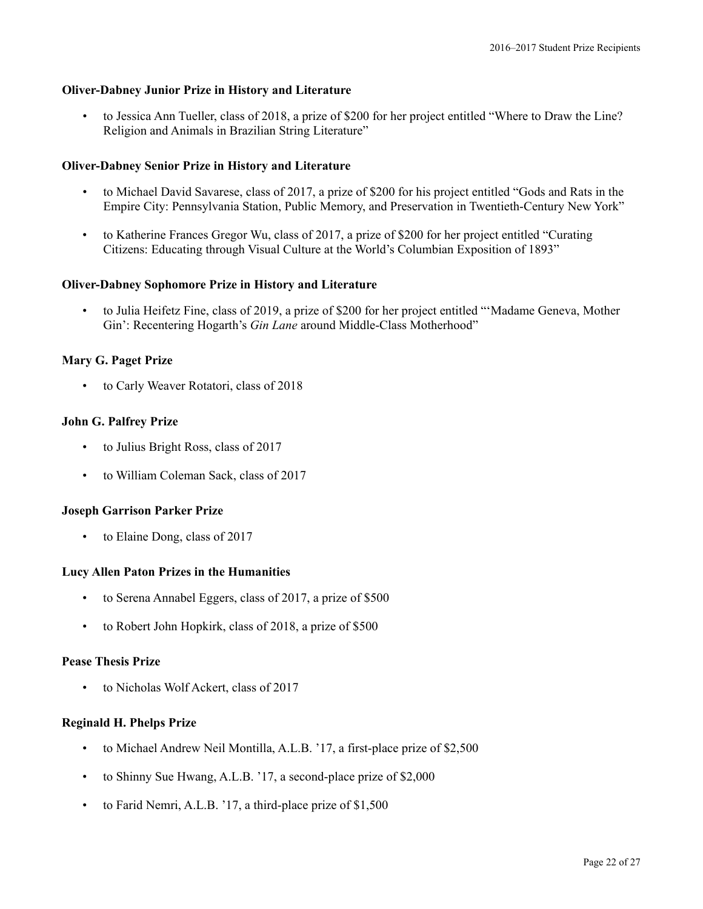### **Oliver-Dabney Junior Prize in History and Literature**

• to Jessica Ann Tueller, class of 2018, a prize of \$200 for her project entitled "Where to Draw the Line? Religion and Animals in Brazilian String Literature"

#### **Oliver-Dabney Senior Prize in History and Literature**

- to Michael David Savarese, class of 2017, a prize of \$200 for his project entitled "Gods and Rats in the Empire City: Pennsylvania Station, Public Memory, and Preservation in Twentieth-Century New York"
- to Katherine Frances Gregor Wu, class of 2017, a prize of \$200 for her project entitled "Curating Citizens: Educating through Visual Culture at the World's Columbian Exposition of 1893"

#### **Oliver-Dabney Sophomore Prize in History and Literature**

• to Julia Heifetz Fine, class of 2019, a prize of \$200 for her project entitled "'Madame Geneva, Mother Gin': Recentering Hogarth's *Gin Lane* around Middle-Class Motherhood"

### **Mary G. Paget Prize**

• to Carly Weaver Rotatori, class of 2018

#### **John G. Palfrey Prize**

- to Julius Bright Ross, class of 2017
- to William Coleman Sack, class of 2017

#### **Joseph Garrison Parker Prize**

to Elaine Dong, class of 2017

#### **Lucy Allen Paton Prizes in the Humanities**

- to Serena Annabel Eggers, class of 2017, a prize of \$500
- to Robert John Hopkirk, class of 2018, a prize of \$500

#### **Pease Thesis Prize**

• to Nicholas Wolf Ackert, class of 2017

# **Reginald H. Phelps Prize**

- to Michael Andrew Neil Montilla, A.L.B. '17, a first-place prize of \$2,500
- to Shinny Sue Hwang, A.L.B. '17, a second-place prize of \$2,000
- to Farid Nemri, A.L.B. '17, a third-place prize of \$1,500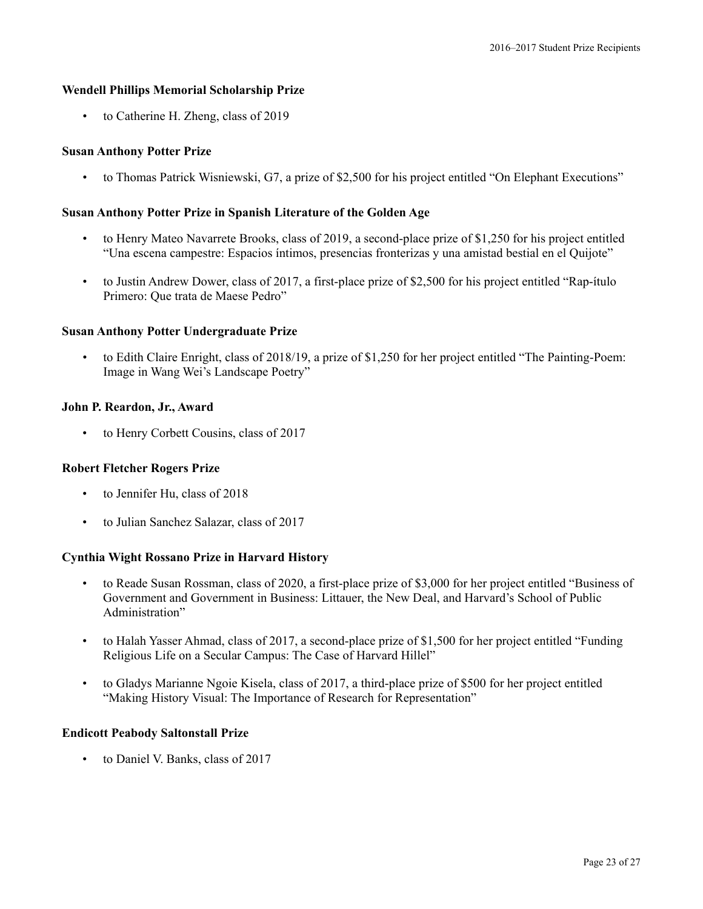### **Wendell Phillips Memorial Scholarship Prize**

• to Catherine H. Zheng, class of 2019

### **Susan Anthony Potter Prize**

• to Thomas Patrick Wisniewski, G7, a prize of \$2,500 for his project entitled "On Elephant Executions"

### **Susan Anthony Potter Prize in Spanish Literature of the Golden Age**

- to Henry Mateo Navarrete Brooks, class of 2019, a second-place prize of \$1,250 for his project entitled "Una escena campestre: Espacios íntimos, presencias fronterizas y una amistad bestial en el Quijote"
- to Justin Andrew Dower, class of 2017, a first-place prize of \$2,500 for his project entitled "Rap-ítulo" Primero: Que trata de Maese Pedro"

### **Susan Anthony Potter Undergraduate Prize**

• to Edith Claire Enright, class of 2018/19, a prize of \$1,250 for her project entitled "The Painting-Poem: Image in Wang Wei's Landscape Poetry"

### **John P. Reardon, Jr., Award**

• to Henry Corbett Cousins, class of 2017

# **Robert Fletcher Rogers Prize**

- to Jennifer Hu, class of 2018
- to Julian Sanchez Salazar, class of 2017

### **Cynthia Wight Rossano Prize in Harvard History**

- to Reade Susan Rossman, class of 2020, a first-place prize of \$3,000 for her project entitled "Business of Government and Government in Business: Littauer, the New Deal, and Harvard's School of Public Administration"
- to Halah Yasser Ahmad, class of 2017, a second-place prize of \$1,500 for her project entitled "Funding Religious Life on a Secular Campus: The Case of Harvard Hillel"
- to Gladys Marianne Ngoie Kisela, class of 2017, a third-place prize of \$500 for her project entitled "Making History Visual: The Importance of Research for Representation"

### **Endicott Peabody Saltonstall Prize**

• to Daniel V. Banks, class of 2017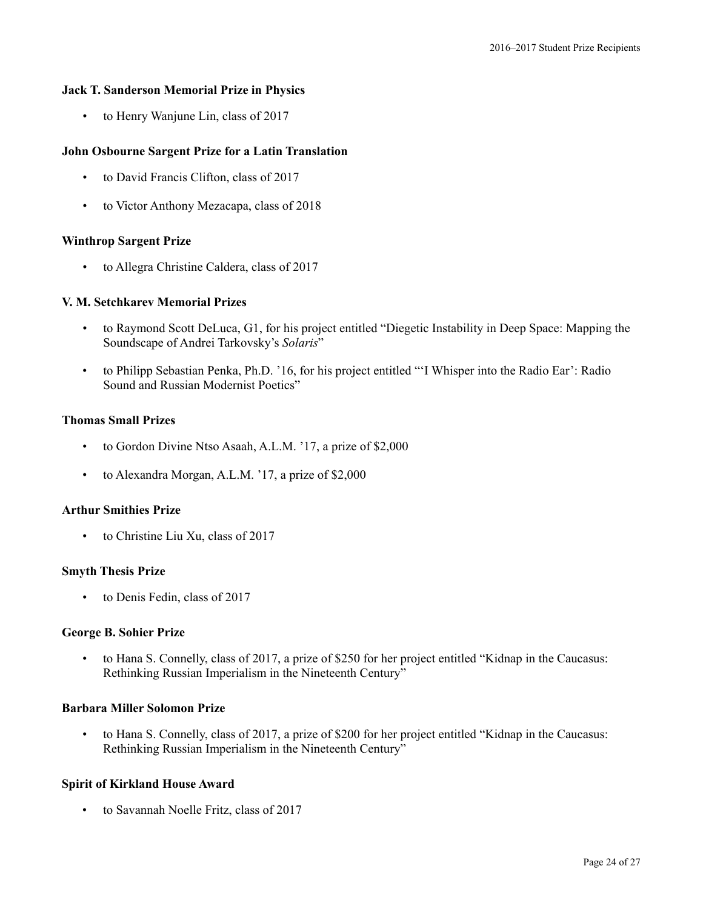#### **Jack T. Sanderson Memorial Prize in Physics**

• to Henry Wanjune Lin, class of 2017

### **John Osbourne Sargent Prize for a Latin Translation**

- to David Francis Clifton, class of 2017
- to Victor Anthony Mezacapa, class of 2018

### **Winthrop Sargent Prize**

• to Allegra Christine Caldera, class of 2017

### **V. M. Setchkarev Memorial Prizes**

- to Raymond Scott DeLuca, G1, for his project entitled "Diegetic Instability in Deep Space: Mapping the Soundscape of Andrei Tarkovsky's *Solaris*"
- to Philipp Sebastian Penka, Ph.D. '16, for his project entitled "'I Whisper into the Radio Ear': Radio Sound and Russian Modernist Poetics"

### **Thomas Small Prizes**

- to Gordon Divine Ntso Asaah, A.L.M. '17, a prize of \$2,000
- to Alexandra Morgan, A.L.M. '17, a prize of \$2,000

#### **Arthur Smithies Prize**

to Christine Liu Xu, class of 2017

#### **Smyth Thesis Prize**

• to Denis Fedin, class of 2017

### **George B. Sohier Prize**

• to Hana S. Connelly, class of 2017, a prize of \$250 for her project entitled "Kidnap in the Caucasus: Rethinking Russian Imperialism in the Nineteenth Century"

# **Barbara Miller Solomon Prize**

• to Hana S. Connelly, class of 2017, a prize of \$200 for her project entitled "Kidnap in the Caucasus: Rethinking Russian Imperialism in the Nineteenth Century"

### **Spirit of Kirkland House Award**

• to Savannah Noelle Fritz, class of 2017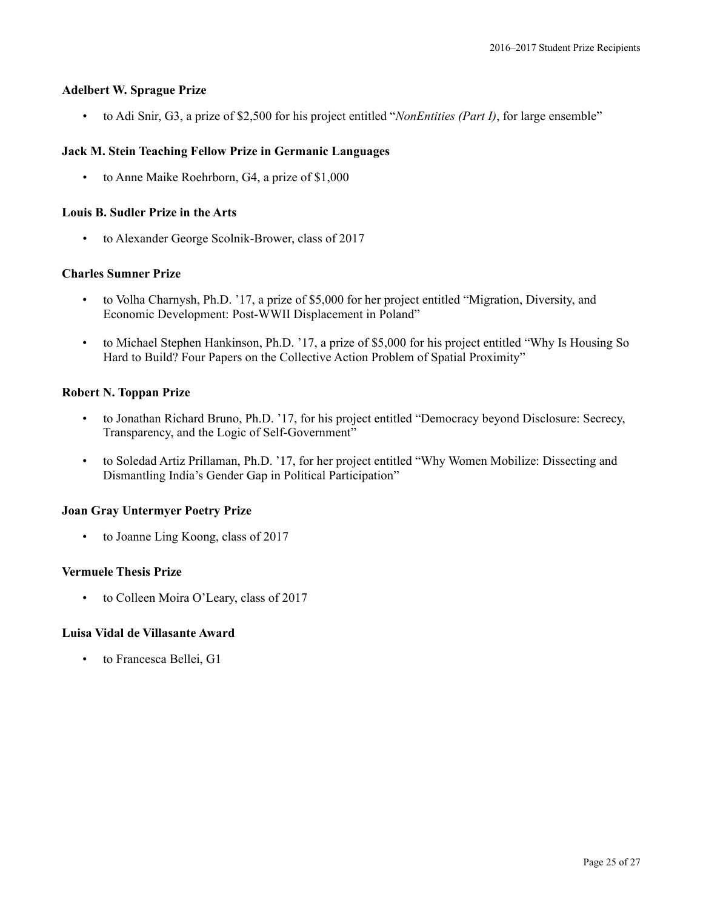### **Adelbert W. Sprague Prize**

• to Adi Snir, G3, a prize of \$2,500 for his project entitled "*NonEntities (Part I)*, for large ensemble"

### **Jack M. Stein Teaching Fellow Prize in Germanic Languages**

• to Anne Maike Roehrborn, G4, a prize of \$1,000

### **Louis B. Sudler Prize in the Arts**

• to Alexander George Scolnik-Brower, class of 2017

### **Charles Sumner Prize**

- to Volha Charnysh, Ph.D. '17, a prize of \$5,000 for her project entitled "Migration, Diversity, and Economic Development: Post-WWII Displacement in Poland"
- to Michael Stephen Hankinson, Ph.D. '17, a prize of \$5,000 for his project entitled "Why Is Housing So Hard to Build? Four Papers on the Collective Action Problem of Spatial Proximity"

### **Robert N. Toppan Prize**

- to Jonathan Richard Bruno, Ph.D. '17, for his project entitled "Democracy beyond Disclosure: Secrecy, Transparency, and the Logic of Self-Government"
- to Soledad Artiz Prillaman, Ph.D. '17, for her project entitled "Why Women Mobilize: Dissecting and Dismantling India's Gender Gap in Political Participation"

### **Joan Gray Untermyer Poetry Prize**

• to Joanne Ling Koong, class of 2017

### **Vermuele Thesis Prize**

• to Colleen Moira O'Leary, class of 2017

### **Luisa Vidal de Villasante Award**

to Francesca Bellei, G1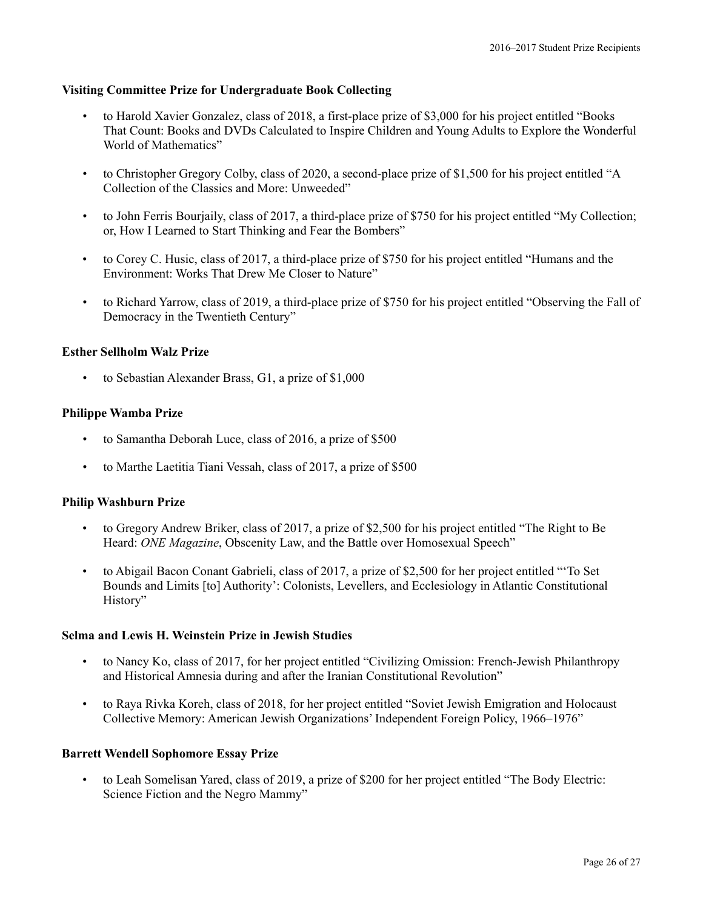### **Visiting Committee Prize for Undergraduate Book Collecting**

- to Harold Xavier Gonzalez, class of 2018, a first-place prize of \$3,000 for his project entitled "Books That Count: Books and DVDs Calculated to Inspire Children and Young Adults to Explore the Wonderful World of Mathematics"
- to Christopher Gregory Colby, class of 2020, a second-place prize of \$1,500 for his project entitled "A Collection of the Classics and More: Unweeded"
- to John Ferris Bourjaily, class of 2017, a third-place prize of \$750 for his project entitled "My Collection; or, How I Learned to Start Thinking and Fear the Bombers"
- to Corey C. Husic, class of 2017, a third-place prize of \$750 for his project entitled "Humans and the Environment: Works That Drew Me Closer to Nature"
- to Richard Yarrow, class of 2019, a third-place prize of \$750 for his project entitled "Observing the Fall of Democracy in the Twentieth Century"

### **Esther Sellholm Walz Prize**

• to Sebastian Alexander Brass, G1, a prize of \$1,000

### **Philippe Wamba Prize**

- to Samantha Deborah Luce, class of 2016, a prize of \$500
- to Marthe Laetitia Tiani Vessah, class of 2017, a prize of \$500

#### **Philip Washburn Prize**

- to Gregory Andrew Briker, class of 2017, a prize of \$2,500 for his project entitled "The Right to Be Heard: *ONE Magazine*, Obscenity Law, and the Battle over Homosexual Speech"
- to Abigail Bacon Conant Gabrieli, class of 2017, a prize of \$2,500 for her project entitled "'To Set Bounds and Limits [to] Authority': Colonists, Levellers, and Ecclesiology in Atlantic Constitutional History"

#### **Selma and Lewis H. Weinstein Prize in Jewish Studies**

- to Nancy Ko, class of 2017, for her project entitled "Civilizing Omission: French-Jewish Philanthropy and Historical Amnesia during and after the Iranian Constitutional Revolution"
- to Raya Rivka Koreh, class of 2018, for her project entitled "Soviet Jewish Emigration and Holocaust Collective Memory: American Jewish Organizations' Independent Foreign Policy, 1966–1976"

#### **Barrett Wendell Sophomore Essay Prize**

• to Leah Somelisan Yared, class of 2019, a prize of \$200 for her project entitled "The Body Electric: Science Fiction and the Negro Mammy"